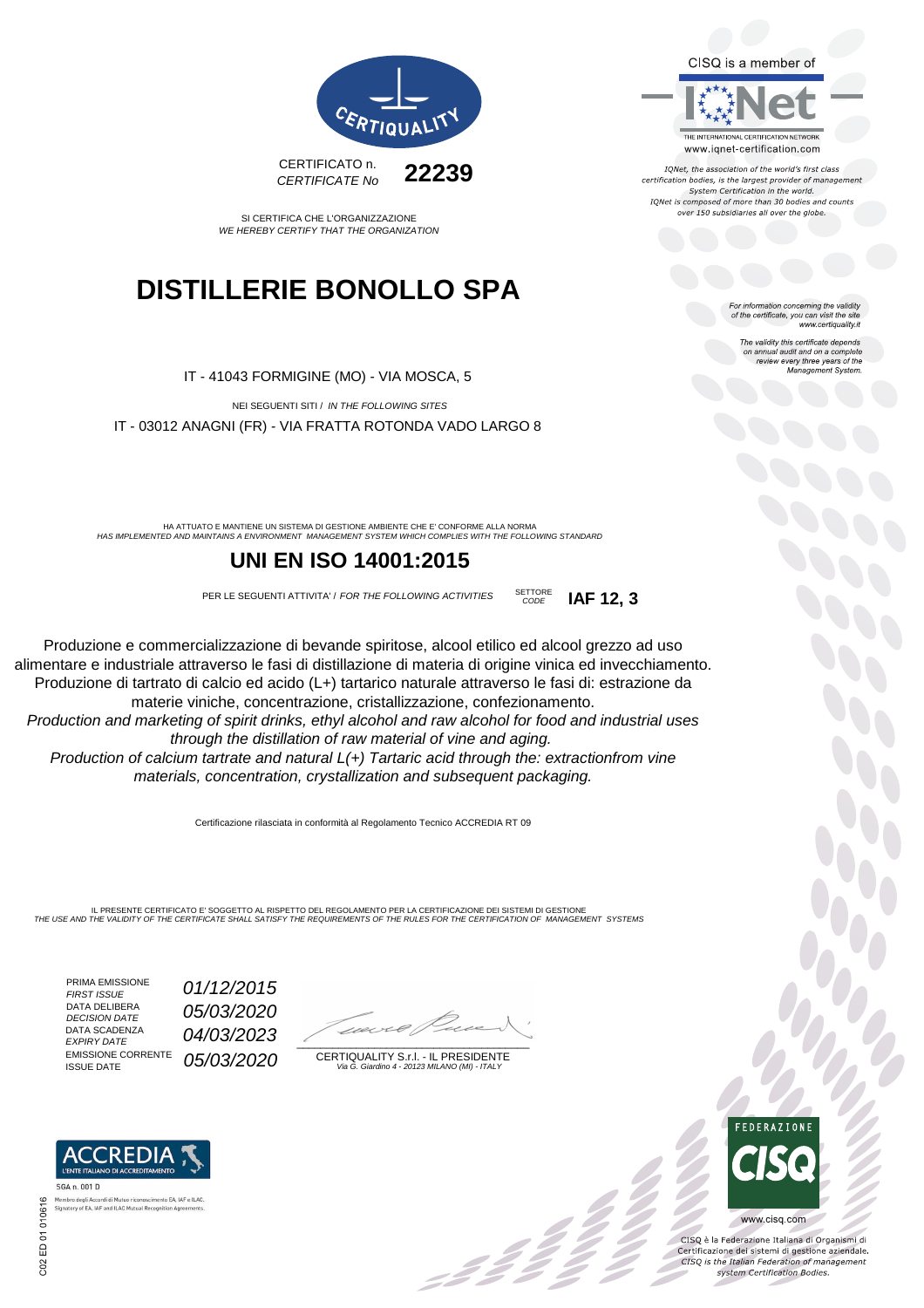CISQ is a member of



IQNet, the association of the world's first class certification bodies, is the largest provider of management System Certification in the world. IONet is composed of more than 30 bodies and counts over 150 subsidiaries all over the globe.

> or information concerning the validity of the certificate, you can visit the site www.certiquality.it

> > The validity this certificate depends The validity this certificate depends<br>on annual audit and on a complete<br>review every three years of the<br>Management System.



SI CERTIFICA CHE L'ORGANIZZAZIONE WE HEREBY CERTIFY THAT THE ORGANIZATION

# **DISTILLERIE BONOLLO SPA**

IT - 41043 FORMIGINE (MO) - VIA MOSCA, 5

NEI SEGUENTI SITI / IN THE FOLLOWING SITES IT - 03012 ANAGNI (FR) - VIA FRATTA ROTONDA VADO LARGO 8

HA ATTUATO E MANTIENE UN SISTEMA DI GESTIONE AMBIENTE CHE E' CONFORME ALLA NORMA<br>HAS IMPLEMENTED AND MAINTAINS A ENVIRONMENT MANAGEMENT SYSTEM WHICH COMPLIES WITH THE FOLLOWING STANDARD

## **UNI EN ISO 14001:2015**

PER LE SEGUENTI ATTIVITA' / FOR THE FOLLOWING ACTIVITIES SETTORE CODE **IAF 12, 3**

Produzione e commercializzazione di bevande spiritose, alcool etilico ed alcool grezzo ad uso alimentare e industriale attraverso le fasi di distillazione di materia di origine vinica ed invecchiamento. Produzione di tartrato di calcio ed acido (L+) tartarico naturale attraverso le fasi di: estrazione da materie viniche, concentrazione, cristallizzazione, confezionamento.

Production and marketing of spirit drinks, ethyl alcohol and raw alcohol for food and industrial uses through the distillation of raw material of vine and aging. Production of calcium tartrate and natural L(+) Tartaric acid through the: extractionfrom vine materials, concentration, crystallization and subsequent packaging.

Certificazione rilasciata in conformità al Regolamento Tecnico ACCREDIA RT 09

IL PRESENTE CERTIFICATO E' SOGGETTO AL RISPETTO DEL REGOLAMENTO PER LA CERTIFICAZIONE DEI SISTEMI DI GESTIONE THE USE AND THE VALIDITY OF THE CERTIFICATE SHALL SATISFY THE REQUIREMENTS OF THE RULES FOR THE CERTIFICATION OF MANAGEMENT SYSTEMS

01/12/2015

04/03/2023

05/03/2020

PRIMA EMISSIONE<br>FIRST ISSUE DATA DELIBERA DATA DELIBERA  $05/03/2020$ DATA SCADENZA<br>EXPIRY DATE **EMISSIONE CORRENTE**<br>ISSUE DATE

Membro degli Accordi di Mutuo riconoscimento EA, I<br>Signatory of EA, IAF and ILAC Mutual Recognition Ag

 $\overline{\phantom{a}}$ 

CERTIQUALITY S.r.l. - IL PRESIDENTE Via G. Giardino 4 - 20123 MILANO (MI) - ITALY

: 42 p



 $\overline{\phantom{a}}$ 

www.cisq.com

CISO è la Federazione Italiana di Organismi di CISQ e la regerazione italiana di Organismi di<br>Certificazione dei sistemi di gestione aziendale.<br>CISQ is the Italian Federation of management system Certification Bodies.



SGA n. 001 D